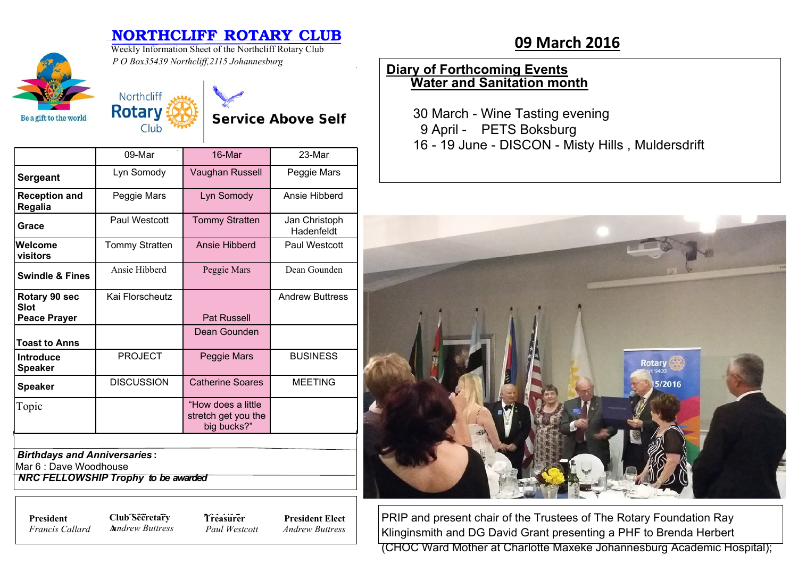# **NORTHCLIFF ROTARY CLUB**<br>Weekly Information Sheet of the Northcliff Rotary Club

**Service Above Self** 



Weekly Information Sheet of the Northcliff Rotary Club *P O Box35439 Northcliff,2115 Johannesburg*

Northcliff **Rotary** 

Club

## **Diary of Forthcoming Events Water and Sanitation month**

30 March - Wine Tasting evening 9 April - PETS Boksburg 16 - 19 June - DISCON - Misty Hills , Muldersdrift



PRIP and present chair of the Trustees of The Rotary Foundation Ray Klinginsmith and DG David Grant presenting a PHF to Brenda Herbert (CHOC Ward Mother at Charlotte Maxeke Johannesburg Academic Hospital);

|                                    | $09-Mar$          | 16-Mar                                                   | 23-Mar                      |
|------------------------------------|-------------------|----------------------------------------------------------|-----------------------------|
| <b>Sergeant</b>                    | Lyn Somody        | Vaughan Russell                                          | Peggie Mars                 |
| <b>Reception and</b><br>Regalia    | Peggie Mars       | Lyn Somody                                               | Ansie Hibberd               |
| Grace                              | Paul Westcott     | <b>Tommy Stratten</b>                                    | Jan Christoph<br>Hadenfeldt |
| Welcome<br>visitors                | Tommy Stratten    | Ansie Hibberd                                            | Paul Westcott               |
| <b>Swindle &amp; Fines</b>         | Ansie Hibberd     | Peggie Mars                                              | Dean Gounden                |
| Rotary 90 sec<br><b>Slot</b>       | Kai Florscheutz   |                                                          | <b>Andrew Buttress</b>      |
| <b>Peace Prayer</b>                |                   | <b>Pat Russell</b>                                       |                             |
| <b>Toast to Anns</b>               |                   | Dean Gounden                                             |                             |
| <b>Introduce</b><br><b>Speaker</b> | <b>PROJECT</b>    | Peggie Mars                                              | <b>BUSINESS</b>             |
| <b>Speaker</b>                     | <b>DISCUSSION</b> | <b>Catherine Soares</b>                                  | <b>MEETING</b>              |
| Topic                              |                   | "How does a little<br>stretch get you the<br>big bucks?" |                             |

*Birthdays and Anniversaries* **:**

Mar 6 : Dave Woodhouse

 *NRC FELLOWSHIP Trophy to be awarded*

*Francis Callard*

**President Club Secretary 7** *Treasure* **A***nndrew Buttress*

**Treasurer** *Paul Westcott*

**President Elect** *Andrew Buttress*